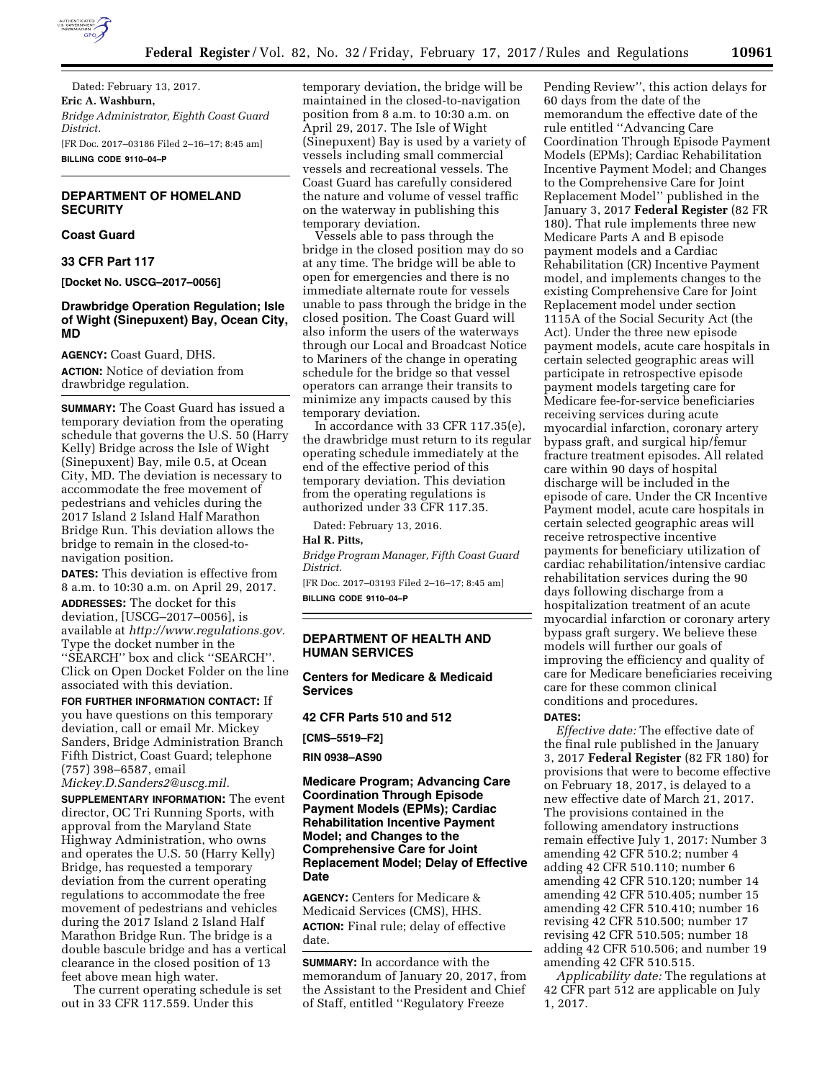

Dated: February 13, 2017. **Eric A. Washburn,**  *Bridge Administrator, Eighth Coast Guard District.*  [FR Doc. 2017–03186 Filed 2–16–17; 8:45 am] **BILLING CODE 9110–04–P** 

# **DEPARTMENT OF HOMELAND SECURITY**

# **Coast Guard**

**33 CFR Part 117** 

**[Docket No. USCG–2017–0056]** 

## **Drawbridge Operation Regulation; Isle of Wight (Sinepuxent) Bay, Ocean City, MD**

**AGENCY:** Coast Guard, DHS. **ACTION:** Notice of deviation from drawbridge regulation.

**SUMMARY:** The Coast Guard has issued a temporary deviation from the operating schedule that governs the U.S. 50 (Harry Kelly) Bridge across the Isle of Wight (Sinepuxent) Bay, mile 0.5, at Ocean City, MD. The deviation is necessary to accommodate the free movement of pedestrians and vehicles during the 2017 Island 2 Island Half Marathon Bridge Run. This deviation allows the bridge to remain in the closed-tonavigation position.

**DATES:** This deviation is effective from 8 a.m. to 10:30 a.m. on April 29, 2017.

**ADDRESSES:** The docket for this deviation, [USCG–2017–0056], is available at *[http://www.regulations.gov.](http://www.regulations.gov)*  Type the docket number in the ''SEARCH'' box and click ''SEARCH''. Click on Open Docket Folder on the line associated with this deviation.

**FOR FURTHER INFORMATION CONTACT:** If you have questions on this temporary deviation, call or email Mr. Mickey Sanders, Bridge Administration Branch Fifth District, Coast Guard; telephone (757) 398–6587, email *[Mickey.D.Sanders2@uscg.mil.](mailto:Mickey.D.Sanders2@uscg.mil)* 

**SUPPLEMENTARY INFORMATION:** The event director, OC Tri Running Sports, with approval from the Maryland State Highway Administration, who owns and operates the U.S. 50 (Harry Kelly) Bridge, has requested a temporary deviation from the current operating regulations to accommodate the free movement of pedestrians and vehicles during the 2017 Island 2 Island Half Marathon Bridge Run. The bridge is a double bascule bridge and has a vertical clearance in the closed position of 13 feet above mean high water.

The current operating schedule is set out in 33 CFR 117.559. Under this

temporary deviation, the bridge will be maintained in the closed-to-navigation position from 8 a.m. to 10:30 a.m. on April 29, 2017. The Isle of Wight (Sinepuxent) Bay is used by a variety of vessels including small commercial vessels and recreational vessels. The Coast Guard has carefully considered the nature and volume of vessel traffic on the waterway in publishing this temporary deviation.

Vessels able to pass through the bridge in the closed position may do so at any time. The bridge will be able to open for emergencies and there is no immediate alternate route for vessels unable to pass through the bridge in the closed position. The Coast Guard will also inform the users of the waterways through our Local and Broadcast Notice to Mariners of the change in operating schedule for the bridge so that vessel operators can arrange their transits to minimize any impacts caused by this temporary deviation.

In accordance with 33 CFR 117.35(e), the drawbridge must return to its regular operating schedule immediately at the end of the effective period of this temporary deviation. This deviation from the operating regulations is authorized under 33 CFR 117.35.

Dated: February 13, 2016.

# **Hal R. Pitts,**

*Bridge Program Manager, Fifth Coast Guard District.* 

[FR Doc. 2017–03193 Filed 2–16–17; 8:45 am] **BILLING CODE 9110–04–P** 

## **DEPARTMENT OF HEALTH AND HUMAN SERVICES**

**Centers for Medicare & Medicaid Services** 

**42 CFR Parts 510 and 512** 

**[CMS–5519–F2]** 

**RIN 0938–AS90** 

## **Medicare Program; Advancing Care Coordination Through Episode Payment Models (EPMs); Cardiac Rehabilitation Incentive Payment Model; and Changes to the Comprehensive Care for Joint Replacement Model; Delay of Effective Date**

**AGENCY:** Centers for Medicare & Medicaid Services (CMS), HHS. **ACTION:** Final rule; delay of effective date.

**SUMMARY:** In accordance with the memorandum of January 20, 2017, from the Assistant to the President and Chief of Staff, entitled ''Regulatory Freeze

Pending Review'', this action delays for 60 days from the date of the memorandum the effective date of the rule entitled ''Advancing Care Coordination Through Episode Payment Models (EPMs); Cardiac Rehabilitation Incentive Payment Model; and Changes to the Comprehensive Care for Joint Replacement Model'' published in the January 3, 2017 **Federal Register** (82 FR 180). That rule implements three new Medicare Parts A and B episode payment models and a Cardiac Rehabilitation (CR) Incentive Payment model, and implements changes to the existing Comprehensive Care for Joint Replacement model under section 1115A of the Social Security Act (the Act). Under the three new episode payment models, acute care hospitals in certain selected geographic areas will participate in retrospective episode payment models targeting care for Medicare fee-for-service beneficiaries receiving services during acute myocardial infarction, coronary artery bypass graft, and surgical hip/femur fracture treatment episodes. All related care within 90 days of hospital discharge will be included in the episode of care. Under the CR Incentive Payment model, acute care hospitals in certain selected geographic areas will receive retrospective incentive payments for beneficiary utilization of cardiac rehabilitation/intensive cardiac rehabilitation services during the 90 days following discharge from a hospitalization treatment of an acute myocardial infarction or coronary artery bypass graft surgery. We believe these models will further our goals of improving the efficiency and quality of care for Medicare beneficiaries receiving care for these common clinical conditions and procedures.

#### **DATES:**

*Effective date:* The effective date of the final rule published in the January 3, 2017 **Federal Register** (82 FR 180) for provisions that were to become effective on February 18, 2017, is delayed to a new effective date of March 21, 2017. The provisions contained in the following amendatory instructions remain effective July 1, 2017: Number 3 amending 42 CFR 510.2; number 4 adding 42 CFR 510.110; number 6 amending 42 CFR 510.120; number 14 amending 42 CFR 510.405; number 15 amending 42 CFR 510.410; number 16 revising 42 CFR 510.500; number 17 revising 42 CFR 510.505; number 18 adding 42 CFR 510.506; and number 19 amending 42 CFR 510.515.

*Applicability date:* The regulations at 42 CFR part 512 are applicable on July 1, 2017.